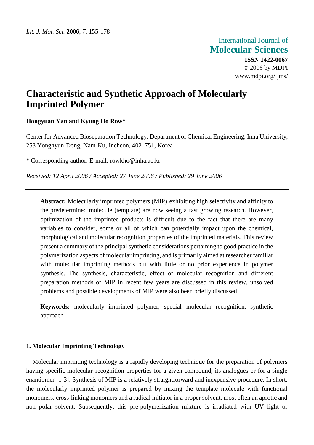# International Journal of **Molecular Sciences ISSN 1422-0067**  © 2006 by MDPI www.mdpi.org/ijms/

# **Characteristic and Synthetic Approach of Molecularly Imprinted Polymer**

#### **Hongyuan Yan and Kyung Ho Row\***

Center for Advanced Bioseparation Technology, Department of Chemical Engineering, Inha University, 253 Yonghyun-Dong, Nam-Ku, Incheon, 402–751, Korea

\* Corresponding author. E-mail: rowkho@inha.ac.kr

*Received: 12 April 2006 / Accepted: 27 June 2006 / Published: 29 June 2006* 

**Abstract:** Molecularly imprinted polymers (MIP) exhibiting high selectivity and affinity to the predetermined molecule (template) are now seeing a fast growing research. However, optimization of the imprinted products is difficult due to the fact that there are many variables to consider, some or all of which can potentially impact upon the chemical, morphological and molecular recognition properties of the imprinted materials. This review present a summary of the principal synthetic considerations pertaining to good practice in the polymerization aspects of molecular imprinting, and is primarily aimed at researcher familiar with molecular imprinting methods but with little or no prior experience in polymer synthesis. The synthesis, characteristic, effect of molecular recognition and different preparation methods of MIP in recent few years are discussed in this review, unsolved problems and possible developments of MIP were also been briefly discussed.

**Keywords:** molecularly imprinted polymer, special molecular recognition, synthetic approach

#### **1. Molecular Imprinting Technology**

Molecular imprinting technology is a rapidly developing technique for the preparation of polymers having specific molecular recognition properties for a given compound, its analogues or for a single enantiomer [1-3]. Synthesis of MIP is a relatively straightforward and inexpensive procedure. In short, the molecularly imprinted polymer is prepared by mixing the template molecule with functional monomers, cross-linking monomers and a radical initiator in a proper solvent, most often an aprotic and non polar solvent. Subsequently, this pre-polymerization mixture is irradiated with UV light or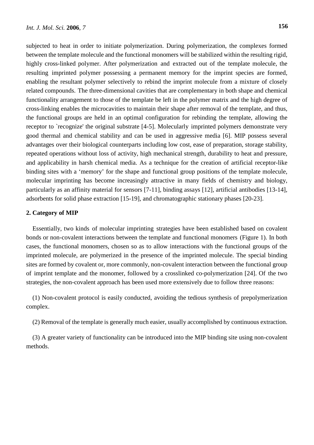subjected to heat in order to initiate polymerization. During polymerization, the complexes formed between the template molecule and the functional monomers will be stabilized within the resulting rigid, highly cross-linked polymer. After polymerization and extracted out of the template molecule, the resulting imprinted polymer possessing a permanent memory for the imprint species are formed, enabling the resultant polymer selectively to rebind the imprint molecule from a mixture of closely related compounds. The three-dimensional cavities that are complementary in both shape and chemical functionality arrangement to those of the template be left in the polymer matrix and the high degree of cross-linking enables the microcavities to maintain their shape after removal of the template, and thus, the functional groups are held in an optimal configuration for rebinding the template, allowing the receptor to `recognize' the original substrate [4-5]. Molecularly imprinted polymers demonstrate very good thermal and chemical stability and can be used in aggressive media [6]. MIP possess several advantages over their biological counterparts including low cost, ease of preparation, storage stability, repeated operations without loss of activity, high mechanical strength, durability to heat and pressure, and applicability in harsh chemical media. As a technique for the creation of artificial receptor-like binding sites with a 'memory' for the shape and functional group positions of the template molecule, molecular imprinting has become increasingly attractive in many fields of chemistry and biology, particularly as an affinity material for sensors [7-11], binding assays [12], artificial antibodies [13-14], adsorbents for solid phase extraction [15-19], and chromatographic stationary phases [20-23].

#### **2. Category of MIP**

Essentially, two kinds of molecular imprinting strategies have been established based on covalent bonds or non-covalent interactions between the template and functional monomers (Figure 1). In both cases, the functional monomers, chosen so as to allow interactions with the functional groups of the imprinted molecule, are polymerized in the presence of the imprinted molecule. The special binding sites are formed by covalent or, more commonly, non-covalent interaction between the functional group of imprint template and the monomer, followed by a crosslinked co-polymerization [24]. Of the two strategies, the non-covalent approach has been used more extensively due to follow three reasons:

(1) Non-covalent protocol is easily conducted, avoiding the tedious synthesis of prepolymerization complex.

(2) Removal of the template is generally much easier, usually accomplished by continuous extraction.

(3) A greater variety of functionality can be introduced into the MIP binding site using non-covalent methods.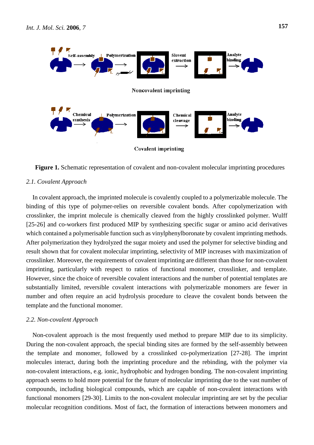

**Figure 1.** Schematic representation of covalent and non-covalent molecular imprinting procedures

### *2.1. Covalent Approach*

In covalent approach, the imprinted molecule is covalently coupled to a polymerizable molecule. The binding of this type of polymer-relies on reversible covalent bonds. After copolymerization with crosslinker, the imprint molecule is chemically cleaved from the highly crosslinked polymer. Wulff [25-26] and co-workers first produced MIP by synthesizing specific sugar or amino acid derivatives which contained a polymerisable function such as vinylphenylboronate by covalent imprinting methods. After polymerization they hydrolyzed the sugar moiety and used the polymer for selective binding and result shown that for covalent molecular imprinting, selectivity of MIP increases with maximization of crosslinker. Moreover, the requirements of covalent imprinting are different than those for non-covalent imprinting, particularly with respect to ratios of functional monomer, crosslinker, and template. However, since the choice of reversible covalent interactions and the number of potential templates are substantially limited, reversible covalent interactions with polymerizable monomers are fewer in number and often require an acid hydrolysis procedure to cleave the covalent bonds between the template and the functional monomer.

#### *2.2. Non-covalent Approach*

Non-covalent approach is the most frequently used method to prepare MIP due to its simplicity. During the non-covalent approach, the special binding sites are formed by the self-assembly between the template and monomer, followed by a crosslinked co-polymerization [27-28]. The imprint molecules interact, during both the imprinting procedure and the rebinding, with the polymer via non-covalent interactions, e.g. ionic, hydrophobic and hydrogen bonding. The non-covalent imprinting approach seems to hold more potential for the future of molecular imprinting due to the vast number of compounds, including biological compounds, which are capable of non-covalent interactions with functional monomers [29-30]. Limits to the non-covalent molecular imprinting are set by the peculiar molecular recognition conditions. Most of fact, the formation of interactions between monomers and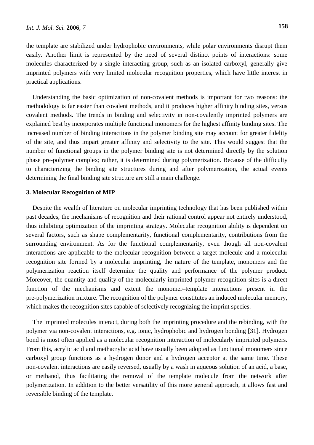the template are stabilized under hydrophobic environments, while polar environments disrupt them easily. Another limit is represented by the need of several distinct points of interactions: some molecules characterized by a single interacting group, such as an isolated carboxyl, generally give imprinted polymers with very limited molecular recognition properties, which have little interest in practical applications.

Understanding the basic optimization of non-covalent methods is important for two reasons: the methodology is far easier than covalent methods, and it produces higher affinity binding sites, versus covalent methods. The trends in binding and selectivity in non-covalently imprinted polymers are explained best by incorporates multiple functional monomers for the highest affinity binding sites. The increased number of binding interactions in the polymer binding site may account for greater fidelity of the site, and thus impart greater affinity and selectivity to the site. This would suggest that the number of functional groups in the polymer binding site is not determined directly by the solution phase pre-polymer complex; rather, it is determined during polymerization. Because of the difficulty to characterizing the binding site structures during and after polymerization, the actual events determining the final binding site structure are still a main challenge.

#### **3. Molecular Recognition of MIP**

Despite the wealth of literature on molecular imprinting technology that has been published within past decades, the mechanisms of recognition and their rational control appear not entirely understood, thus inhibiting optimization of the imprinting strategy. Molecular recognition ability is dependent on several factors, such as shape complementarity, functional complementarity, contributions from the surrounding environment. As for the functional complementarity, even though all non-covalent interactions are applicable to the molecular recognition between a target molecule and a molecular recognition site formed by a molecular imprinting, the nature of the template, monomers and the polymerization reaction itself determine the quality and performance of the polymer product. Moreover, the quantity and quality of the molecularly imprinted polymer recognition sites is a direct function of the mechanisms and extent the monomer–template interactions present in the pre-polymerization mixture. The recognition of the polymer constitutes an induced molecular memory, which makes the recognition sites capable of selectively recognizing the imprint species.

The imprinted molecules interact, during both the imprinting procedure and the rebinding, with the polymer via non-covalent interactions, e.g. ionic, hydrophobic and hydrogen bonding [31]. Hydrogen bond is most often applied as a molecular recognition interaction of molecularly imprinted polymers. From this, acrylic acid and methacrylic acid have usually been adopted as functional monomers since carboxyl group functions as a hydrogen donor and a hydrogen acceptor at the same time. These non-covalent interactions are easily reversed, usually by a wash in aqueous solution of an acid, a base, or methanol, thus facilitating the removal of the template molecule from the network after polymerization. In addition to the better versatility of this more general approach, it allows fast and reversible binding of the template.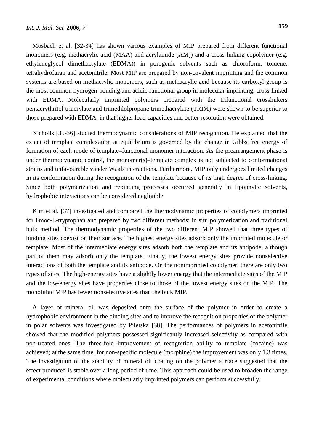Mosbach et al. [32-34] has shown various examples of MIP prepared from different functional monomers (e.g. methacrylic acid (MAA) and acrylamide (AM)) and a cross-linking copolymer (e.g. ethyleneglycol dimethacrylate (EDMA)) in porogenic solvents such as chloroform, toluene, tetrahydrofuran and acetonitrile. Most MIP are prepared by non-covalent imprinting and the common systems are based on methacrylic monomers, such as methacrylic acid because its carboxyl group is the most common hydrogen-bonding and acidic functional group in molecular imprinting, cross-linked with EDMA. Molecularly imprinted polymers prepared with the trifunctional crosslinkers pentaerythritol triacrylate and trimethlolpropane trimethacrylate (TRIM) were shown to be superior to those prepared with EDMA, in that higher load capacities and better resolution were obtained.

Nicholls [35-36] studied thermodynamic considerations of MIP recognition. He explained that the extent of template complexation at equilibrium is governed by the change in Gibbs free energy of formation of each mode of template–functional monomer interaction. As the prearrangement phase is under thermodynamic control, the monomer(s)–template complex is not subjected to conformational strains and unfavourable vander Waals interactions. Furthermore, MIP only undergoes limited changes in its conformation during the recognition of the template because of its high degree of cross-linking. Since both polymerization and rebinding processes occurred generally in lipophylic solvents, hydrophobic interactions can be considered negligible.

Kim et al. [37] investigated and compared the thermodynamic properties of copolymers imprinted for Fmoc-L-tryptophan and prepared by two different methods: in situ polymerization and traditional bulk method. The thermodynamic properties of the two different MIP showed that three types of binding sites coexist on their surface. The highest energy sites adsorb only the imprinted molecule or template. Most of the intermediate energy sites adsorb both the template and its antipode, although part of them may adsorb only the template. Finally, the lowest energy sites provide nonselective interactions of both the template and its antipode. On the nonimprinted copolymer, there are only two types of sites. The high-energy sites have a slightly lower energy that the intermediate sites of the MIP and the low-energy sites have properties close to those of the lowest energy sites on the MIP. The monolithic MIP has fewer nonselective sites than the bulk MIP.

A layer of mineral oil was deposited onto the surface of the polymer in order to create a hydrophobic environment in the binding sites and to improve the recognition properties of the polymer in polar solvents was investigated by Piletska [38]. The performances of polymers in acetonitrile showed that the modified polymers possessed significantly increased selectivity as compared with non-treated ones. The three-fold improvement of recognition ability to template (cocaine) was achieved; at the same time, for non-specific molecule (morphine) the improvement was only 1.3 times. The investigation of the stability of mineral oil coating on the polymer surface suggested that the effect produced is stable over a long period of time. This approach could be used to broaden the range of experimental conditions where molecularly imprinted polymers can perform successfully.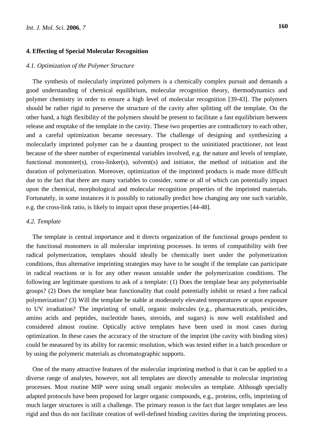#### **4. Effecting of Special Molecular Recognition**

#### *4.1. Optimization of the Polymer Structure*

The synthesis of molecularly imprinted polymers is a chemically complex pursuit and demands a good understanding of chemical equilibrium, molecular recognition theory, thermodynamics and polymer chemistry in order to ensure a high level of molecular recognition [39-43]. The polymers should be rather rigid to preserve the structure of the cavity after splitting off the template. On the other hand, a high flexibility of the polymers should be present to facilitate a fast equilibrium between release and reuptake of the template in the cavity. These two properties are contradictory to each other, and a careful optimization became necessary. The challenge of designing and synthesizing a molecularly imprinted polymer can be a daunting prospect to the uninitiated practitioner, not least because of the sheer number of experimental variables involved, e.g. the nature and levels of template, functional monomer(s), cross-linker(s), solvent(s) and initiator, the method of initiation and the duration of polymerization. Moreover, optimization of the imprinted products is made more difficult due to the fact that there are many variables to consider, some or all of which can potentially impact upon the chemical, morphological and molecular recognition properties of the imprinted materials. Fortunately, in some instances it is possibly to rationally predict how changing any one such variable, e.g. the cross-link ratio, is likely to impact upon these properties [44-48].

#### *4.2. Template*

The template is central importance and it directs organization of the functional groups pendent to the functional monomers in all molecular imprinting processes. In terms of compatibility with free radical polymerization, templates should ideally be chemically inert under the polymerization conditions, thus alternative imprinting strategies may have to be sought if the template can participate in radical reactions or is for any other reason unstable under the polymerization conditions. The following are legitimate questions to ask of a template: (1) Does the template bear any polymerisable groups? (2) Does the template bear functionality that could potentially inhibit or retard a free radical polymerization? (3) Will the template be stable at moderately elevated temperatures or upon exposure to UV irradiation? The imprinting of small, organic molecules (e.g., pharmaceuticals, pesticides, amino acids and peptides, nucleotide bases, steroids, and sugars) is now well established and considered almost routine. Optically active templates have been used in most cases during optimization. In these cases the accuracy of the structure of the imprint (the cavity with binding sites) could be measured by its ability for racemic resolution, which was tested either in a batch procedure or by using the polymeric materials as chromatographic supports.

One of the many attractive features of the molecular imprinting method is that it can be applied to a diverse range of analytes, however, not all templates are directly amenable to molecular imprinting processes. Most routine MIP were using small organic molecules as template. Although specially adapted protocols have been proposed for larger organic compounds, e.g., proteins, cells, imprinting of much larger structures is still a challenge. The primary reason is the fact that larger templates are less rigid and thus do not facilitate creation of well-defined binding cavities during the imprinting process.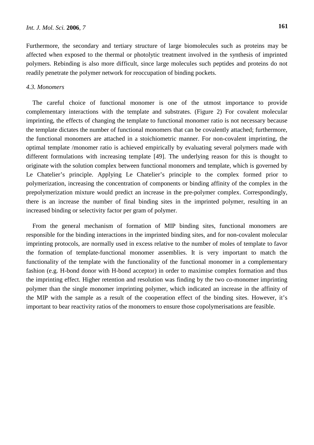Furthermore, the secondary and tertiary structure of large biomolecules such as proteins may be affected when exposed to the thermal or photolytic treatment involved in the synthesis of imprinted polymers. Rebinding is also more difficult, since large molecules such peptides and proteins do not readily penetrate the polymer network for reoccupation of binding pockets.

#### *4.3. Monomers*

The careful choice of functional monomer is one of the utmost importance to provide complementary interactions with the template and substrates. (Figure 2) For covalent molecular imprinting, the effects of changing the template to functional monomer ratio is not necessary because the template dictates the number of functional monomers that can be covalently attached; furthermore, the functional monomers are attached in a stoichiometric manner. For non-covalent imprinting, the optimal template /monomer ratio is achieved empirically by evaluating several polymers made with different formulations with increasing template [49]. The underlying reason for this is thought to originate with the solution complex between functional monomers and template, which is governed by Le Chatelier's principle. Applying Le Chatelier's principle to the complex formed prior to polymerization, increasing the concentration of components or binding affinity of the complex in the prepolymerization mixture would predict an increase in the pre-polymer complex. Correspondingly, there is an increase the number of final binding sites in the imprinted polymer, resulting in an increased binding or selectivity factor per gram of polymer.

From the general mechanism of formation of MIP binding sites, functional monomers are responsible for the binding interactions in the imprinted binding sites, and for non-covalent molecular imprinting protocols, are normally used in excess relative to the number of moles of template to favor the formation of template-functional monomer assemblies. It is very important to match the functionality of the template with the functionality of the functional monomer in a complementary fashion (e.g. H-bond donor with H-bond acceptor) in order to maximise complex formation and thus the imprinting effect. Higher retention and resolution was finding by the two co-monomer imprinting polymer than the single monomer imprinting polymer, which indicated an increase in the affinity of the MIP with the sample as a result of the cooperation effect of the binding sites. However, it's important to bear reactivity ratios of the monomers to ensure those copolymerisations are feasible.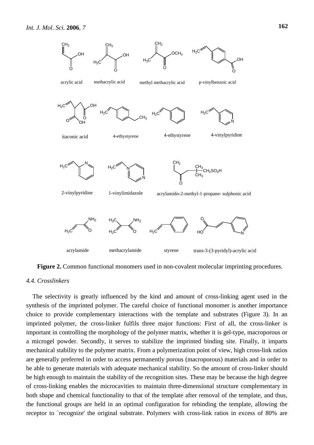

**Figure 2.** Common functional monomers used in non-covalent molecular imprinting procedures.

#### *4.4. Crosslinkers*

The selectivity is greatly influenced by the kind and amount of cross-linking agent used in the synthesis of the imprinted polymer. The careful choice of functional monomer is another importance choice to provide complementary interactions with the template and substrates (Figure 3). In an imprinted polymer, the cross-linker fulfils three major functions: First of all, the cross-linker is important in controlling the morphology of the polymer matrix, whether it is gel-type, macroporous or a microgel powder. Secondly, it serves to stabilize the imprinted binding site. Finally, it imparts mechanical stability to the polymer matrix. From a polymerization point of view, high cross-link ratios are generally preferred in order to access permanently porous (macroporous) materials and in order to be able to generate materials with adequate mechanical stability. So the amount of cross-linker should be high enough to maintain the stability of the recognition sites. These may be because the high degree of cross-linking enables the microcavities to maintain three-dimensional structure complementary in both shape and chemical functionality to that of the template after removal of the template, and thus, the functional groups are held in an optimal configuration for rebinding the template, allowing the receptor to `recognize' the original substrate. Polymers with cross-link ratios in excess of 80% are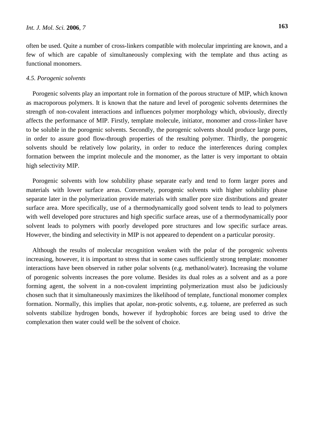often be used. Quite a number of cross-linkers compatible with molecular imprinting are known, and a few of which are capable of simultaneously complexing with the template and thus acting as functional monomers.

#### *4.5. Porogenic solvents*

Porogenic solvents play an important role in formation of the porous structure of MIP, which known as macroporous polymers. It is known that the nature and level of porogenic solvents determines the strength of non-covalent interactions and influences polymer morphology which, obviously, directly affects the performance of MIP. Firstly, template molecule, initiator, monomer and cross-linker have to be soluble in the porogenic solvents. Secondly, the porogenic solvents should produce large pores, in order to assure good flow-through properties of the resulting polymer. Thirdly, the porogenic solvents should be relatively low polarity, in order to reduce the interferences during complex formation between the imprint molecule and the monomer, as the latter is very important to obtain high selectivity MIP.

Porogenic solvents with low solubility phase separate early and tend to form larger pores and materials with lower surface areas. Conversely, porogenic solvents with higher solubility phase separate later in the polymerization provide materials with smaller pore size distributions and greater surface area. More specifically, use of a thermodynamically good solvent tends to lead to polymers with well developed pore structures and high specific surface areas, use of a thermodynamically poor solvent leads to polymers with poorly developed pore structures and low specific surface areas. However, the binding and selectivity in MIP is not appeared to dependent on a particular porosity.

Although the results of molecular recognition weaken with the polar of the porogenic solvents increasing, however, it is important to stress that in some cases sufficiently strong template: monomer interactions have been observed in rather polar solvents (e.g. methanol/water). Increasing the volume of porogenic solvents increases the pore volume. Besides its dual roles as a solvent and as a pore forming agent, the solvent in a non-covalent imprinting polymerization must also be judiciously chosen such that it simultaneously maximizes the likelihood of template, functional monomer complex formation. Normally, this implies that apolar, non-protic solvents, e.g. toluene, are preferred as such solvents stabilize hydrogen bonds, however if hydrophobic forces are being used to drive the complexation then water could well be the solvent of choice.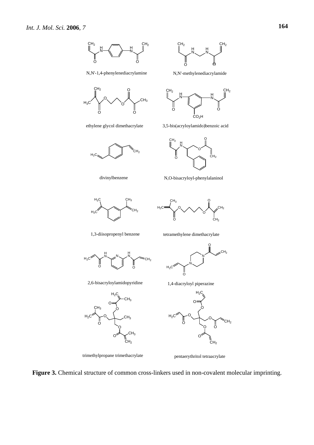

N,N'-1,4-phenylenediacrylamine



ethylene glycol dimethacrylate



divinylbenzene



1,3-diisopropenyl benzene



N,N'-methylenediacrylamide



3,5-bis(acryloylamido)benzoic acid



N,O-bisacryloyl-phenylalaninol



tetramethylene dimethacrylate

N

1,4-diacryloyl piperazine

ö

I

 $\frac{1}{\circ}$ 

 $H_2C^2$ 

 $H<sub>2</sub>C$ 

N

O

 $CH<sub>2</sub>$ 

 $\mathrm{CH}_2$ 



2,6-bisacryloylamidopyridine



trimethylpropane trimethacrylate

pentaerythritol tetraacrylate

O  $\cap$ 

O

O  $\Omega$  $H<sub>2</sub>$ 

 $CH<sub>2</sub>$ 

O

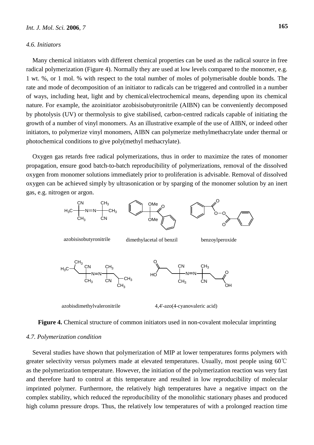#### *4.6. Initiators*

Many chemical initiators with different chemical properties can be used as the radical source in free radical polymerization (Figure 4). Normally they are used at low levels compared to the monomer, e.g. 1 wt. %, or 1 mol. % with respect to the total number of moles of polymerisable double bonds. The rate and mode of decomposition of an initiator to radicals can be triggered and controlled in a number of ways, including heat, light and by chemical/electrochemical means, depending upon its chemical nature. For example, the azoinitiator azobisisobutyronitrile (AIBN) can be conveniently decomposed by photolysis (UV) or thermolysis to give stabilised, carbon-centred radicals capable of initiating the growth of a number of vinyl monomers. As an illustrative example of the use of AIBN, or indeed other initiators, to polymerize vinyl monomers, AIBN can polymerize methylmethacrylate under thermal or photochemical conditions to give poly(methyl methacrylate).

Oxygen gas retards free radical polymerizations, thus in order to maximize the rates of monomer propagation, ensure good batch-to-batch reproducibility of polymerizations, removal of the dissolved oxygen from monomer solutions immediately prior to proliferation is advisable. Removal of dissolved oxygen can be achieved simply by ultrasonication or by sparging of the monomer solution by an inert gas, e.g. nitrogen or argon.



azobisdimethylvaleronitrile

4,4'-azo(4-cyanovaleric acid)



#### *4.7. Polymerization condition*

Several studies have shown that polymerization of MIP at lower temperatures forms polymers with greater selectivity versus polymers made at elevated temperatures. Usually, most people using 60℃ as the polymerization temperature. However, the initiation of the polymerization reaction was very fast and therefore hard to control at this temperature and resulted in low reproducibility of molecular imprinted polymer. Furthermore, the relatively high temperatures have a negative impact on the complex stability, which reduced the reproducibility of the monolithic stationary phases and produced high column pressure drops. Thus, the relatively low temperatures of with a prolonged reaction time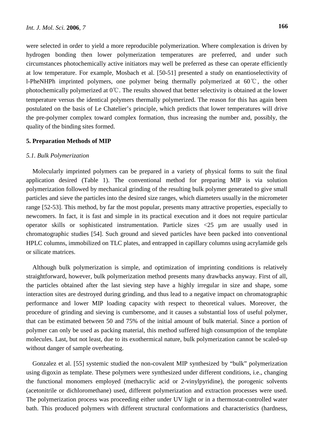were selected in order to yield a more reproducible polymerization. Where complexation is driven by hydrogen bonding then lower polymerization temperatures are preferred, and under such circumstances photochemically active initiators may well be preferred as these can operate efficiently at low temperature. For example, Mosbach et al. [50-51] presented a study on enantioselectivity of l-PheNHPh imprinted polymers, one polymer being thermally polymerized at 60℃, the other photochemically polymerized at 0℃. The results showed that better selectivity is obtained at the lower temperature versus the identical polymers thermally polymerized. The reason for this has again been postulated on the basis of Le Chatelier's principle, which predicts that lower temperatures will drive the pre-polymer complex toward complex formation, thus increasing the number and, possibly, the quality of the binding sites formed.

#### **5. Preparation Methods of MIP**

#### *5.1. Bulk Polymerization*

Molecularly imprinted polymers can be prepared in a variety of physical forms to suit the final application desired (Table 1). The conventional method for preparing MIP is via solution polymerization followed by mechanical grinding of the resulting bulk polymer generated to give small particles and sieve the particles into the desired size ranges, which diameters usually in the micrometer range [52-53]. This method, by far the most popular, presents many attractive properties, especially to newcomers. In fact, it is fast and simple in its practical execution and it does not require particular operator skills or sophisticated instrumentation. Particle sizes <25 µm are usually used in chromatographic studies [54]. Such ground and sieved particles have been packed into conventional HPLC columns, immobilized on TLC plates, and entrapped in capillary columns using acrylamide gels or silicate matrices.

Although bulk polymerization is simple, and optimization of imprinting conditions is relatively straightforward, however, bulk polymerization method presents many drawbacks anyway. First of all, the particles obtained after the last sieving step have a highly irregular in size and shape, some interaction sites are destroyed during grinding, and thus lead to a negative impact on chromatographic performance and lower MIP loading capacity with respect to theoretical values. Moreover, the procedure of grinding and sieving is cumbersome, and it causes a substantial loss of useful polymer, that can be estimated between 50 and 75% of the initial amount of bulk material. Since a portion of polymer can only be used as packing material, this method suffered high consumption of the template molecules. Last, but not least, due to its exothermical nature, bulk polymerization cannot be scaled-up without danger of sample overheating.

Gonzalez et al. [55] systemic studied the non-covalent MIP synthesized by "bulk" polymerization using digoxin as template. These polymers were synthesized under different conditions, i.e., changing the functional monomers employed (methacrylic acid or 2-vinylpyridine), the porogenic solvents (acetonitrile or dichloromethane) used, different polymerization and extraction processes were used. The polymerization process was proceeding either under UV light or in a thermostat-controlled water bath. This produced polymers with different structural conformations and characteristics (hardness,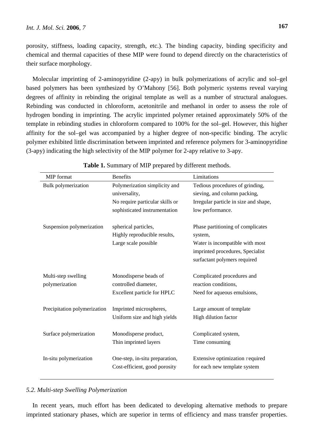porosity, stiffness, loading capacity, strength, etc.). The binding capacity, binding specificity and chemical and thermal capacities of these MIP were found to depend directly on the characteristics of their surface morphology.

Molecular imprinting of 2-aminopyridine (2-apy) in bulk polymerizations of acrylic and sol–gel based polymers has been synthesized by O'Mahony [56]. Both polymeric systems reveal varying degrees of affinity in rebinding the original template as well as a number of structural analogues. Rebinding was conducted in chloroform, acetonitrile and methanol in order to assess the role of hydrogen bonding in imprinting. The acrylic imprinted polymer retained approximately 50% of the template in rebinding studies in chloroform compared to 100% for the sol–gel. However, this higher affinity for the sol–gel was accompanied by a higher degree of non-specific binding. The acrylic polymer exhibited little discrimination between imprinted and reference polymers for 3-aminopyridine (3-apy) indicating the high selectivity of the MIP polymer for 2-apy relative to 3-apy.

| MIP format                   | <b>Benefits</b>                 | Limitations                           |
|------------------------------|---------------------------------|---------------------------------------|
| Bulk polymerization          | Polymerization simplicity and   | Tedious procedures of grinding,       |
|                              | universality,                   | sieving, and column packing,          |
|                              | No require particular skills or | Irregular particle in size and shape, |
|                              | sophisticated instrumentation   | low performance.                      |
| Suspension polymerization    | spherical particles,            | Phase partitioning of complicates     |
|                              | Highly reproducible results,    | system,                               |
|                              | Large scale possible            | Water is incompatible with most       |
|                              |                                 | imprinted procedures, Specialist      |
|                              |                                 | surfactant polymers required          |
| Multi-step swelling          | Monodisperse beads of           | Complicated procedures and            |
| polymerization               | controlled diameter,            | reaction conditions,                  |
|                              | Excellent particle for HPLC     | Need for aqueous emulsions,           |
| Precipitation polymerization | Imprinted microspheres,         | Large amount of template              |
|                              | Uniform size and high yields    | High dilution factor                  |
| Surface polymerization       | Monodisperse product,           | Complicated system,                   |
|                              | Thin imprinted layers           | Time consuming                        |
| In-situ polymerization       | One-step, in-situ preparation,  | Extensive optimization required       |
|                              | Cost-efficient, good porosity   | for each new template system          |

**Table 1.** Summary of MIP prepared by different methods.

## *5.2. Multi-step Swelling Polymerization*

In recent years, much effort has been dedicated to developing alternative methods to prepare imprinted stationary phases, which are superior in terms of efficiency and mass transfer properties.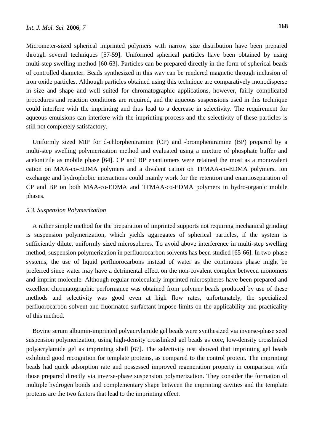Micrometer-sized spherical imprinted polymers with narrow size distribution have been prepared through several techniques [57-59]. Uniformed spherical particles have been obtained by using multi-step swelling method [60-63]. Particles can be prepared directly in the form of spherical beads of controlled diameter. Beads synthesized in this way can be rendered magnetic through inclusion of iron oxide particles. Although particles obtained using this technique are comparatively monodisperse in size and shape and well suited for chromatographic applications, however, fairly complicated procedures and reaction conditions are required, and the aqueous suspensions used in this technique could interfere with the imprinting and thus lead to a decrease in selectivity. The requirement for aqueous emulsions can interfere with the imprinting process and the selectivity of these particles is still not completely satisfactory.

Uniformly sized MIP for d-chlorpheniramine (CP) and -brompheniramine (BP) prepared by a multi-step swelling polymerization method and evaluated using a mixture of phosphate buffer and acetonitrile as mobile phase [64]. CP and BP enantiomers were retained the most as a monovalent cation on MAA-co-EDMA polymers and a divalent cation on TFMAA-co-EDMA polymers. Ion exchange and hydrophobic interactions could mainly work for the retention and enantioseparation of CP and BP on both MAA-co-EDMA and TFMAA-co-EDMA polymers in hydro-organic mobile phases.

#### *5.3. Suspension Polymerization*

A rather simple method for the preparation of imprinted supports not requiring mechanical grinding is suspension polymerization, which yields aggregates of spherical particles, if the system is sufficiently dilute, uniformly sized microspheres. To avoid above interference in multi-step swelling method, suspension polymerization in perfluorocarbon solvents has been studied [65-66]. In two-phase systems, the use of liquid perfluorocarbons instead of water as the continuous phase might be preferred since water may have a detrimental effect on the non-covalent complex between monomers and imprint molecule. Although regular molecularly imprinted microspheres have been prepared and excellent chromatographic performance was obtained from polymer beads produced by use of these methods and selectivity was good even at high flow rates, unfortunately, the specialized perfluorocarbon solvent and fluorinated surfactant impose limits on the applicability and practicality of this method.

Bovine serum albumin-imprinted polyacrylamide gel beads were synthesized via inverse-phase seed suspension polymerization, using high-density crosslinked gel beads as core, low-density crosslinked polyacrylamide gel as imprinting shell [67]. The selectivity test showed that imprinting gel beads exhibited good recognition for template proteins, as compared to the control protein. The imprinting beads had quick adsorption rate and possessed improved regeneration property in comparison with those prepared directly via inverse-phase suspension polymerization. They consider the formation of multiple hydrogen bonds and complementary shape between the imprinting cavities and the template proteins are the two factors that lead to the imprinting effect.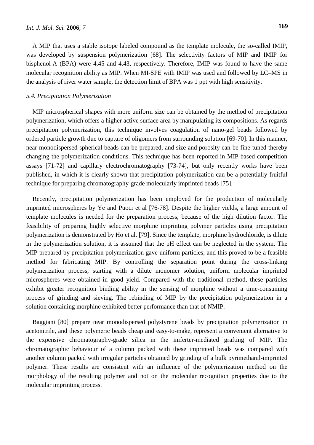A MIP that uses a stable isotope labeled compound as the template molecule, the so-called IMIP, was developed by suspension polymerization [68]. The selectivity factors of MIP and IMIP for bisphenol A (BPA) were 4.45 and 4.43, respectively. Therefore, IMIP was found to have the same molecular recognition ability as MIP. When MI-SPE with IMIP was used and followed by LC–MS in the analysis of river water sample, the detection limit of BPA was 1 ppt with high sensitivity.

#### *5.4. Precipitation Polymerization*

MIP microspherical shapes with more uniform size can be obtained by the method of precipitation polymerization, which offers a higher active surface area by manipulating its compositions. As regards precipitation polymerization, this technique involves coagulation of nano-gel beads followed by ordered particle growth due to capture of oligomers from surrounding solution [69-70]. In this manner, near-monodispersed spherical beads can be prepared, and size and porosity can be fine-tuned thereby changing the polymerization conditions. This technique has been reported in MIP-based competition assays [71-72] and capillary electrochromatography [73-74], but only recently works have been published, in which it is clearly shown that precipitation polymerization can be a potentially fruitful technique for preparing chromatography-grade molecularly imprinted beads [75].

Recently, precipitation polymerization has been employed for the production of molecularly imprinted microspheres by Ye and Puoci et al [76-78]. Despite the higher yields, a large amount of template molecules is needed for the preparation process, because of the high dilution factor. The feasibility of preparing highly selective morphine imprinting polymer particles using precipitation polymerization is demonstrated by Ho et al. [79]. Since the template, morphine hydrochloride, is dilute in the polymerization solution, it is assumed that the pH effect can be neglected in the system. The MIP prepared by precipitation polymerization gave uniform particles, and this proved to be a feasible method for fabricating MIP. By controlling the separation point during the cross-linking polymerization process, starting with a dilute monomer solution, uniform molecular imprinted microspheres were obtained in good yield. Compared with the traditional method, these particles exhibit greater recognition binding ability in the sensing of morphine without a time-consuming process of grinding and sieving. The rebinding of MIP by the precipitation polymerization in a solution containing morphine exhibited better performance than that of NMIP.

Baggiani [80] prepare near monodispersed polystyrene beads by precipitation polymerization in acetonitrile, and these polymeric beads cheap and easy-to-make, represent a convenient alternative to the expensive chromatography-grade silica in the iniferter-mediated grafting of MIP. The chromatographic behaviour of a column packed with these imprinted beads was compared with another column packed with irregular particles obtained by grinding of a bulk pyrimethanil-imprinted polymer. These results are consistent with an influence of the polymerization method on the morphology of the resulting polymer and not on the molecular recognition properties due to the molecular imprinting process.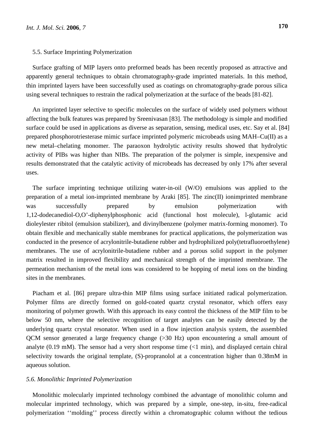#### 5.5. Surface Imprinting Polymerization

Surface grafting of MIP layers onto preformed beads has been recently proposed as attractive and apparently general techniques to obtain chromatography-grade imprinted materials. In this method, thin imprinted layers have been successfully used as coatings on chromatography-grade porous silica using several techniques to restrain the radical polymerization at the surface of the beads [81-82].

An imprinted layer selective to specific molecules on the surface of widely used polymers without affecting the bulk features was prepared by Sreenivasan [83]. The methodology is simple and modified surface could be used in applications as diverse as separation, sensing, medical uses, etc. Say et al. [84] prepared phosphorotriesterase mimic surface imprinted polymeric microbeads using MAH–Cu(II) as a new metal–chelating monomer. The paraoxon hydrolytic activity results showed that hydrolytic activity of PIBs was higher than NIBs. The preparation of the polymer is simple, inexpensive and results demonstrated that the catalytic activity of microbeads has decreased by only 17% after several uses.

The surface imprinting technique utilizing water-in-oil (W/O) emulsions was applied to the preparation of a metal ion-imprinted membrane by Araki [85]. The zinc(II) ionimprinted membrane was successfully prepared by emulsion polymerization with 1,12-dodecanediol-O,O'-diphenylphosphonic acid (functional host molecule), l-glutamic acid dioleylester ribitol (emulsion stabilizer), and divinylbenzene (polymer matrix-forming monomer). To obtain flexible and mechanically stable membranes for practical applications, the polymerization was conducted in the presence of acrylonitrile-butadiene rubber and hydrophilized poly(tetrafluoroethylene) membranes. The use of acrylonitrile-butadiene rubber and a porous solid support in the polymer matrix resulted in improved flexibility and mechanical strength of the imprinted membrane. The permeation mechanism of the metal ions was considered to be hopping of metal ions on the binding sites in the membranes.

Piacham et al. [86] prepare ultra-thin MIP films using surface initiated radical polymerization. Polymer films are directly formed on gold-coated quartz crystal resonator, which offers easy monitoring of polymer growth. With this approach its easy control the thickness of the MIP film to be below 50 nm, where the selective recognition of target analytes can be easily detected by the underlying quartz crystal resonator. When used in a flow injection analysis system, the assembled QCM sensor generated a large frequency change (>30 Hz) upon encountering a small amount of analyte (0.19 mM). The sensor had a very short response time  $(1 \text{ min})$ , and displayed certain chiral selectivity towards the original template, (S)-propranolol at a concentration higher than 0.38mM in aqueous solution.

#### *5.6. Monolithic Imprinted Polymerization*

Monolithic molecularly imprinted technology combined the advantage of monolithic column and molecular imprinted technology, which was prepared by a simple, one-step, in-situ, free-radical polymerization ''molding'' process directly within a chromatographic column without the tedious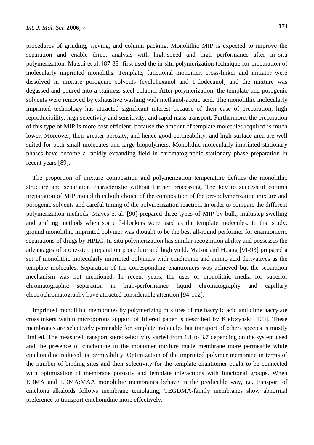procedures of grinding, sieving, and column packing. Monolithic MIP is expected to improve the separation and enable direct analysis with high-speed and high performance after in–situ polymerization. Matsui et al. [87-88] first used the in-situ polymerization technique for preparation of molecularly imprinted monoliths. Template, functional monomer, cross-linker and initiator were dissolved in mixture porogenic solvents (cyclohexanol and 1-dodecanol) and the mixture was degassed and poured into a stainless steel column. After polymerization, the template and porogenic solvents were removed by exhaustive washing with methanol-acetic acid. The monolithic molecularly imprinted technology has attracted significant interest because of their ease of preparation, high reproducibility, high selectivity and sensitivity, and rapid mass transport. Furthermore, the preparation of this type of MIP is more cost-efficient, because the amount of template molecules required is much lower. Moreover, their greater porosity, and hence good permeability, and high surface area are well suited for both small molecules and large biopolymers. Monolithic molecularly imprinted stationary phases have become a rapidly expanding field in chromatographic stationary phase preparation in recent years [89].

The proportion of mixture composition and polymerization temperature defines the monolithic structure and separation characteristic without further processing. The key to successful column preparation of MIP monolith is both choice of the composition of the pre-polymerization mixture and porogenic solvents and careful timing of the polymerization reaction. In order to compare the different polymerization methods, Mayes et al. [90] prepared three types of MIP by bulk, multistep-swelling and grafting methods when some β-blockers were used as the template molecules. In that study, ground monolithic imprinted polymer was thought to be the best all-round performer for enantiomeric separations of drugs by HPLC. In-situ polymerization has similar recognition ability and possesses the advantages of a one-step preparation procedure and high yield. Matsui and Huang [91-93] prepared a set of monolithic molecularly imprinted polymers with cinchonine and amino acid derivatives as the template molecules. Separation of the corresponding enantiomers was achieved but the separation mechanism was not mentioned. In recent years, the uses of monolithic media for superior chromatographic separation in high-performance liquid chromatography and capillary electrochromatography have attracted considerable attention [94-102].

Imprinted monolithic membranes by polymerizing mixtures of methacrylic acid and dimethacrylate crosslinkers within microporous support of filtered paper is described by Kiełczynski [103]. These membranes are selectively permeable for template molecules but transport of others species is mostly limited. The measured transport stereoselectivity varied from 1.1 to 3.7 depending on the system used and the presence of cinchonine in the monomer mixture made membrane more permeable while cinchonidine reduced its permeability. Optimization of the imprinted polymer membrane in terms of the number of binding sites and their selectivity for the template enantiomer ought to be connected with optimization of membrane porosity and template interactions with functional groups. When EDMA and EDMA:MAA monolithic membranes behave in the predicable way, i.e. transport of cinchona alkaloids follows membrane templating, TEGDMA-family membranes show abnormal preference to transport cinchonidine more effectively.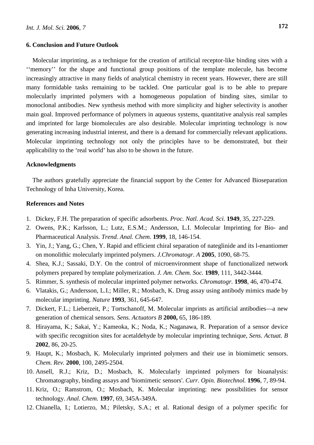#### **6. Conclusion and Future Outlook**

Molecular imprinting, as a technique for the creation of artificial receptor-like binding sites with a ''memory'' for the shape and functional group positions of the template molecule, has become increasingly attractive in many fields of analytical chemistry in recent years. However, there are still many formidable tasks remaining to be tackled. One particular goal is to be able to prepare molecularly imprinted polymers with a homogeneous population of binding sites, similar to monoclonal antibodies. New synthesis method with more simplicity and higher selectivity is another main goal. Improved performance of polymers in aqueous systems, quantitative analysis real samples and imprinted for large biomolecules are also desirable. Molecular imprinting technology is now generating increasing industrial interest, and there is a demand for commercially relevant applications. Molecular imprinting technology not only the principles have to be demonstrated, but their applicability to the 'real world' has also to be shown in the future.

#### **Acknowledgments**

The authors gratefully appreciate the financial support by the Center for Advanced Bioseparation Technology of Inha University, Korea.

#### **References and Notes**

- 1. Dickey, F.H. The preparation of specific adsorbents. *Proc. Natl. Acad. Sci.* **1949**, 35, 227-229.
- 2. Owens, P.K.; Karlsson, L.; Lutz, E.S.M.; Andersson, L.I. Molecular Imprinting for Bio- and Pharmaceutical Analysis. *Trend. Anal. Chem.* **1999**, 18, 146-154.
- 3. Yin, J.; Yang, G.; Chen, Y. Rapid and efficient chiral separation of nateglinide and its l-enantiomer on monolithic molecularly imprinted polymers. *J.Chromatogr. A* **2005**, 1090, 68-75.
- 4. Shea, K.J.; Sassaki, D.Y. On the control of microenvironment shape of functionalized network polymers prepared by template polymerization. *J. Am. Chem. Soc.* **1989**, 111, 3442-3444.
- 5. Rimmer, S. synthesis of molecular imprinted polymer networks. *Chromatogr.* **1998**, 46, 470-474.
- 6. Vlatakis, G.; Andersson, L.I.; Miller, R.; Mosbach, K. Drug assay using antibody mimics made by molecular imprinting. *Nature* **1993**, 361, 645-647.
- 7. Dickert, F.L.; Lieberzeit, P.; Tortschanoff, M. Molecular imprints as artificial antibodies—a new generation of chemical sensors. *Sens. Actuators B* **2000,** 65, 186-189.
- 8. Hirayama, K.; Sakai, Y.; Kameoka, K.; Noda, K.; Naganawa, R. Preparation of a sensor device with specific recognition sites for acetaldehyde by molecular imprinting technique, *Sens. Actuat. B* **2002**, 86, 20-25.
- 9. Haupt, K.; Mosbach, K. Molecularly imprinted polymers and their use in biomimetic sensors. *Chem. Rev.* **2000**, 100, 2495-2504.
- 10. Ansell, R.J.; Kriz, D.; Mosbach, K. Molecularly imprinted polymers for bioanalysis: Chromatography, binding assays and 'biomimetic sensors'. *Curr. Opin. Biotechnol.* **1996**, 7, 89-94.
- 11. Kriz, O.; Ramstrom, O.; Mosbach, K. Molecular imprinting: new possibilities for sensor technology. *Anal. Chem.* **1997**, 69, 345A-349A.
- 12. Chianella, I.; Lotierzo, M.; Piletsky, S.A.; et al. Rational design of a polymer specific for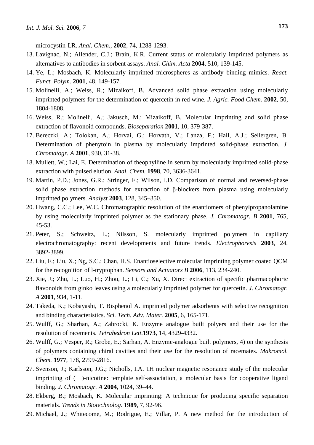microcystin-LR. *Anal. Chem.*, **2002**, 74, 1288-1293.

- 13. Lavignac, N.; Allender, C.J.; Brain, K.R. Current status of molecularly imprinted polymers as alternatives to antibodies in sorbent assays. *Anal. Chim. Acta* **2004**, 510, 139-145.
- 14. Ye, L.; Mosbach, K. Molecularly imprinted microspheres as antibody binding mimics. *React. Funct. Polym.* **2001**, 48, 149-157.
- 15. Molinelli, A.; Weiss, R.; Mizaikoff, B. Advanced solid phase extraction using molecularly imprinted polymers for the determination of quercetin in red wine. *J. Agric. Food Chem.* **2002**, 50, 1804-1808.
- 16. Weiss, R.; Molinelli, A.; Jakusch, M.; Mizaikoff, B. Molecular imprinting and solid phase extraction of flavonoid compounds. *Bioseparation* **2001**, 10, 379-387.
- 17. Bereczki, A.; Tolokan, A.; Horvai, G.; Horvath, V.; Lanza, F.; Hall, A.J.; Sellergren, B. Determination of phenytoin in plasma by molecularly imprinted solid-phase extraction. *J. Chromatogr. A* **2001**, 930, 31-38.
- 18. Mullett, W.; Lai, E. Determination of theophylline in serum by molecularly imprinted solid-phase extraction with pulsed elution. *Anal. Chem.* **1998**, 70, 3636-3641.
- 19. Martin, P.D.; Jones, G.R.; Stringer, F.; Wilson, I.D. Comparison of normal and reversed-phase solid phase extraction methods for extraction of β-blockers from plasma using molecularly imprinted polymers. *Analyst* **2003**, 128, 345–350.
- 20. Hwang, C.C.; Lee, W.C. Chromatographic resolution of the enantiomers of phenylpropanolamine by using molecularly imprinted polymer as the stationary phase. *J. Chromatogr. B* **2001**, 765, 45-53.
- 21. Peter, S.; Schweitz, L.; Nilsson, S. molecularly imprinted polymers in capillary electrochromatography: recent developments and future trends. *Electrophoresis* **2003**, 24, 3892-3899.
- 22. Liu, F.; Liu, X.; Ng, S.C.; Chan, H.S. Enantioselective molecular imprinting polymer coated QCM for the recognition of l-tryptophan. *Sensors and Actuators B* **2006**, 113, 234-240.
- 23. Xie, J.; Zhu, L.; Luo, H.; Zhou, L.; Li, C.; Xu, X. Direct extraction of specific pharmacophoric flavonoids from ginko leaves using a molecularly imprinted polymer for quercetin. *J. Chromatogr. A* **2001**, 934, 1-11.
- 24. Takeda, K.; Kobayashi, T. Bisphenol A. imprinted polymer adsorbents with selective recognition and binding characteristics. *Sci. Tech. Adv. Mater.* **2005**, 6, 165-171.
- 25. Wulff, G.; Sharhan, A.; Zabrocki, K. Enzyme analogue built polyers and their use for the resolution of racements. *Tetrahedron Lett.***1973**, 14, 4329-4332.
- 26. Wulff, G.; Vesper, R.; Grobe, E.; Sarhan, A. Enzyme-analogue built polymers, 4) on the synthesis of polymers containing chiral cavities and their use for the resolution of racemates. *Makromol. Chem.* **1977**, 178, 2799-2816.
- 27. Svenson, J.; Karlsson, J.G.; Nicholls, I.A. 1H nuclear magnetic resonance study of the molecular imprinting of ( )-nicotine: template self-association, a molecular basis for cooperative ligand binding. *J. Chromatogr. A* **2004**, 1024, 39–44.
- 28. Ekberg, B.; Mosbach, K. Molecular imprinting: A technique for producing specific separation materials. *Trends in Biotechnolog.* **1989**, 7, 92-96.
- 29. Michael, J.; Whitecome, M.; Rodrigue, E.; Villar, P. A new method for the introduction of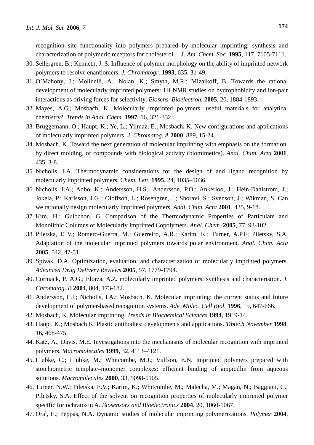recognition site functionality into polymers prepared by molecular imprinting: synthesis and characterization of polymeric receptors for cholesterol. J. *Am. Chem. Soc.* **1995**, 117, 7105-7111.

- 30. Sellergren, B.; Kenneth, J. S. Influence of polymer morphology on the ability of imprinted network polymers to resolve enantiomers. *J. Chromatogr.* **1993**, 635, 31-49.
- 31. O'Mahony, J.; Molinelli, A.; Nolan, K.; Smyth, M.R.; Mizaikoff, B. Towards the rational development of molecularly imprinted polymers: 1H NMR studies on hydrophobicity and ion-pair interactions as driving forces for selectivity. *Biosens. Bioelectron.* **2005**, 20, 1884-1893.
- 32. Mayes, A.G.; Mosbach, K. Molecularly imprinted polymers: useful materials for analytical chemistry?. *Trends in Anal. Chem.* **1997**, 16, 321-332.
- 33. Brüggemann, O.; Haupt, K.; Ye, L.; Yilmaz, E.; Mosbach**,** K. New configurations and applications of molecularly imprinted polymers. *J. Chromatog. A* **2000**, 889, 15-24.
- 34. Mosbach, K. Toward the next generation of molecular imprinting with emphasis on the formation, by direct molding, of compounds with biological activity (biomimetics). *Anal. Chim. Acta* **2001**, 435, 3-8.
- 35. Nicholls, I.A. Thermodynamic considerations for the design of and ligand recognition by molecularly imprinted polymers, *Chem. Lett.* **1995**, 24, 1035–1036.
- 36. Nicholls, I.A.; Adbo, K.; Andersson, H.S.; Andersson, P.O.; Ankerloo, J.; Hein-Dahlstrom, J.; Jokela, P.; Karlsson, J.G..; Oloffson, L.; Rosengren, J.; Shoravi, S.; Svenson, J.; Wikman, S. Can we rationally design molecularly imprinted polymers. *Anal. Chim. Acta* **2001**, 435, 9-18.
- 37. Kim, H.; Guiochon, G. Comparison of the Thermodynamic Properties of Particulate and Monolithic Columns of Molecularly Imprinted Copolymers. *Anal. Chem.* **2005**, 77, 93-102.
- 38. Piletska, E V.; Romero-Guerra, M.; Guerreiro, A.R.; Karim, K.; Turner, A.P.F; Piletsky, S.A. Adaptation of the molecular imprinted polymers towards polar environment. *Anal. Chim. Acta*  **2005**, 542, 47-51.
- 39. Spivak, D.A. Optimization, evaluation, and characterization of molecularly imprinted polymers. *Advanced Drug Delivery Reviews* **2005**, 57, 1779-1794.
- 40. Cormack, P. A.G.; Elorza, A.Z. molecularly imprinted polymers: synthesis and characteristion. *J. Chromatog. B* **2004**, 804, 173-182.
- 41. Andersson, L.I.; Nicholls, I.A.; Mosbach, K. Molecular imprinting: the current status and future development of polymer-based recognition systems. *Adv. Molec. Cell Biol.* **1996**, 15, 647-666.
- 42. Mosbach, K. Molecular imprinting. *Trends in Biochemical Sciences* **1994**, 19, 9-14.
- 43. Haupt, K.; Mosbach K. Plastic antibodies: developments and applications. *Tibtech November* **1998**, 16, 468-475.
- 44. Katz, A.; Davis, M.E. Investigations into the mechanisms of molecular recognition with imprinted polymers. *Macromolecules* **1999,** 32, 4113–4121.
- 45. L¨ubke, C.; L¨ubke, M.; Whitcombe, M.J.; Vulfson, E.N. Imprinted polymers prepared with stoichiometric template–monomer complexes: efficient binding of ampicillin from aqueous solutions. *Macromolecules* **2000**, 33, 5098-5105.
- 46. Turner, N.W.; Piletska, E.V.; Karim, K.; Whitcombe, M.; Malecha, M.; Magan, N.; Baggiani, C.; Piletsky, S.A. Effect of the solvent on recognition properties of molecularly imprinted polymer specific for ochratoxin A. *Biosensors and Bioelectronics* **2004**, 20, 1060-1067.
- 47. Oral, E.; Peppas, N.A. Dynamic studies of molecular imprinting polymerizations. *Polymer* **2004**,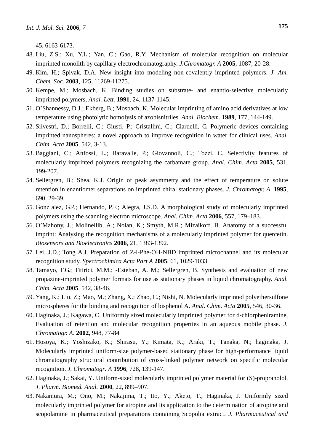45, 6163-6173.

- 48. Liu, Z.S.; Xu, Y.L.; Yan, C.; Gao, R.Y. Mechanism of molecular recognition on molecular imprinted monolith by capillary electrochromatography. *J.Chromatogr. A* **2005**, 1087, 20-28.
- 49. Kim, H.; Spivak, D.A. New insight into modeling non-covalently imprinted polymers. *J. Am. Chem. Soc.* **2003**, 125, 11269-11275.
- 50. Kempe, M.; Mosbach, K. Binding studies on substrate- and enantio-selective molecularly imprinted polymers, *Anal. Lett.* **1991**, 24, 1137-1145.
- 51. O'Shannessy, D.J.; Ekberg, B.; Mosbach, K. Molecular imprinting of amino acid derivatives at low temperature using photolytic homolysis of azobisnitriles. *Anal. Biochem.* **1989**, 177, 144-149.
- 52. Silvestri, D.; Borrelli, C.; Giusti, P.; Cristallini, C.; Ciardelli, G. Polymeric devices containing imprinted nanospheres: a novel approach to improve recognition in water for clinical uses. *Anal. Chim. Acta* **2005**, 542, 3-13.
- 53. Baggiani, C.; Anfossi, L.; Baravalle, P.; Giovannoli, C.; Tozzi, C. Selectivity features of molecularly imprinted polymers recognizing the carbamate group. *Anal. Chim. Acta* **2005**, 531, 199-207.
- 54. Sellergren, B.; Shea, K.J. Origin of peak asymmetry and the effect of temperature on solute retention in enantiomer separations on imprinted chiral stationary phases. *J. Chromatogr. A*. **1995**, 690, 29-39.
- 55. Gonz´alez, G.P.; Hernando, P.F.; Alegra, J.S.D. A morphological study of molecularly imprinted polymers using the scanning electron microscope. *Anal. Chim. Acta* **2006**, 557, 179–183.
- 56. O'Mahony, J.; Molinellib, A.; Nolan, K.; Smyth, M.R.; Mizaikoff, B. Anatomy of a successful imprint: Analysing the recognition mechanisms of a molecularly imprinted polymer for quercetin. *Biosensors and Bioelectronics* **2006**, 21, 1383-1392.
- 57. Lei, J.D.; Tong A.J. Preparation of Z-l-Phe-OH-NBD imprinted microchannel and its molecular recognition study. *Spectrochimica Acta Part A* **2005**, 61, 1029-1033.
- 58. Tamayo, F.G.; Titirici, M.M.; -Esteban, A. M.; Sellergren, B. Synthesis and evaluation of new propazine-imprinted polymer formats for use as stationary phases in liquid chromatography. *Anal. Chim. Acta* **2005**, 542, 38-46.
- 59. Yang, K.; Liu, Z.; Mao, M.; Zhang, X.; Zhao, C.; Nishi, N. Molecularly imprinted polyethersulfone microspheres for the binding and recognition of bisphenol A. *Anal. Chim. Acta* **2005**, 546, 30-36.
- 60. Haginaka, J.; Kagawa, C. Uniformly sized molecularly imprinted polymer for d-chlorpheniramine, Evaluation of retention and molecular recognition properties in an aqueous mobile phase. *J. Chromatogr. A*. **2002**, 948, 77-84
- 61. Hosoya, K.; Yoshizako, K.; Shirasu, Y.; Kimata, K.; Araki, T.; Tanaka, N.; haginaka, J. Molecularly imprinted uniform-size polymer-based stationary phase for high-performance liquid chromatography structural contribution of cross-linked polymer network on specific molecular recognition. *J. Chromatogr. A* **1996**, 728, 139-147.
- 62. Haginaka, J.; Sakai, Y. Uniform-sized molecularly imprinted polymer material for (S)-propranolol. *J. Pharm. Biomed. Anal.* **2000**, 22, 899–907.
- 63. Nakamura, M.; Ono, M.; Nakajima, T.; Ito, Y.; Aketo, T.; Haginaka, J. Uniformly sized molecularly imprinted polymer for atropine and its application to the determination of atropine and scopolamine in pharmaceutical preparations containing Scopolia extract. *J. Pharmaceutical and*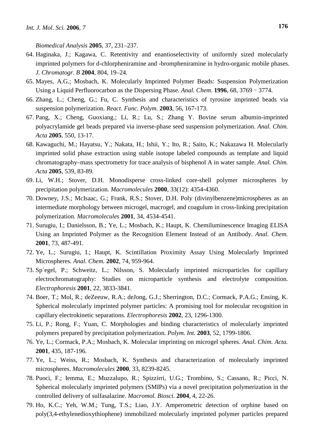*Biomedical Analysis* **2005**, 37, 231–237.

- 64. Haginaka, J.; Kagawa, C. Retentivity and enantioselectivity of uniformly sized molecularly imprinted polymers for d-chlorpheniramine and -brompheniramine in hydro-organic mobile phases. *J. Chromatogr. B* **2004**, 804, 19–24.
- 65. Mayes, A.G.; Mosbach, K. Molecularly Imprinted Polymer Beads: Suspension Polymerization Using a Liquid Perfluorocarbon as the Dispersing Phase. *Anal. Chem.* **1996**, 68, 3769–3774.
- 66. Zhang, L.; Cheng, G.; Fu, C. Synthesis and characteristics of tyrosine imprinted beads via suspension polymerization. *React. Func. Polym.* **2003**, 56, 167-173.
- 67. Pang, X.; Cheng, Guoxiang.; Li, R.; Lu, S.; Zhang Y. Bovine serum albumin-imprinted polyacrylamide gel beads prepared via inverse-phase seed suspension polymerization. *Anal. Chim. Acta* **2005**, 550, 13-17.
- 68. Kawaguchi, M.; Hayatsu, Y.; Nakata, H.; Ishii, Y.; Ito, R.; Saito, K.; Nakazawa H. Molecularly imprinted solid phase extraction using stable isotope labeled compounds as template and liquid chromatography–mass spectrometry for trace analysis of bisphenol A in water sample. *Anal. Chim. Acta* **2005**, 539, 83-89.
- 69. Li, W.H.; Stover, D.H. Monodisperse cross-linked core-shell polymer microspheres by precipitation polymerization. *Macromolecules* **2000**, 33(12): 4354-4360.
- 70. Downey, J.S.; McIsaac, G.; Frank, R.S.; Stover, D.H. Poly (divinylbenzene)microspheres as an intermediate morphology between microgel, macrogel, and coagulum in cross-linking precipitation polymerization. *Macromolecules* **2001**, 34, 4534-4541.
- 71. Surugiu, I.; Danielsson, B.; Ye, L.; Mosbach, K.; Haupt, K. Chemiluminescence Imaging ELISA Using an Imprinted Polymer as the Recognition Element Instead of an Antibody. *Anal. Chem.*  **2001**, 73, 487-491.
- 72. Ye, L.; Surugiu, I.; Haupt, K. Scintillation Proximity Assay Using Molecularly Imprinted Microspheres. *Anal. Chem.* **2002**, 74, 959-964.
- 73. Sp´egel, P.; Schweitz, L.; Nilsson, S. Molecularly imprinted microparticles for capillary electrochromatography: Studies on microparticle synthesis and electrolyte composition. *Electrophoresis* **2001**, 22, 3833-3841.
- 74. Boer, T.; Mol, R.; deZeeuw, R.A.; deJong, G.J.; Sherrington, D.C.; Cormack, P.A.G.; Ensing, K. Spherical molecularly imprinted polymer particles: A promising tool for molecular recognition in capillary electrokinetic separations. *Electrophoresis* **2002**, 23, 1296-1300.
- 75. Li, P.; Rong, F.; Yuan, C. Morphologies and binding characteristics of molecularly imprinted polymers prepared by precipitation polymerization. *Polym. Int.* **2003**, 52, 1799-1806.
- 76. Ye, L.; Cormack, P.A.; Mosbach, K. Molecular imprinting on microgel spheres. *Anal. Chim. Acta.*  **2001**, 435, 187-196.
- 77. Ye, L.; Weiss, R.; Mosbach, K. Synthesis and characterization of molecularly imprinted microspheres. *Macromolecules* **2000**, 33, 8239-8245.
- 78. Puoci, F.; Iemma, E.; Muzzalupo, R.; Spizzirri, U.G.; Trombino, S.; Cassano, R.; Picci, N. Spherical molecularly imprinted polymers (SMIPs) via a novel precipitation polymerization in the controlled delivery of sulfasalazine. *Macromol. Biosci.* **2004**, 4, 22-26.
- 79. Ho, K.C.; Yeh, W.M.; Tung, T.S.; Liao, J.Y. Amperometric detection of orphine based on poly(3,4-ethylenedioxythiophene) immobilized molecularly imprinted polymer particles prepared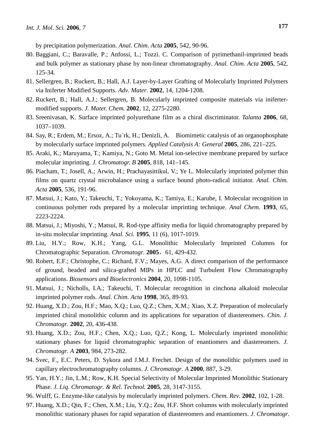by precipitation polymerization. *Anal. Chim. Acta* **2005**, 542, 90-96.

- 80. Baggiani, C.; Baravalle, P.; Anfossi, L.; Tozzi. C. Comparison of pyrimethanil-imprinted beads and bulk polymer as stationary phase by non-linear chromatography. *Anal. Chim. Acta* **2005**, 542, 125-34.
- 81. Sellergren, B.; Ruckert, B.; Hall, A.J. Layer-by-Layer Grafting of Molecularly Imprinted Polymers via Iniferter Modified Supports. *Adv. Mater.* **2002**, 14, 1204-1208.
- 82. Ruckert, B.; Hall, A.J.; Sellergren, B. Molecularly imprinted composite materials via inifertermodified supports. *J. Mater. Chem.* **2002**, 12, 2275-2280.
- 83. Sreenivasan, K. Surface imprinted polyurethane film as a chiral discriminator. *Talanta* **2006**, 68, 1037–1039.
- 84. Say, R.; Erdem, M.; Ersoz, A.; Tu¨rk, H.; Denizli, A. Biomimetic catalysis of an organophosphate by molecularly surface imprinted polymers. *Applied Catalysis A: General* **2005**, 286, 221–225.
- 85. Araki, K.; Maruyama, T.; Kamiya, N.; Goto M. Metal ion-selective membrane prepared by surface molecular imprinting. *J. Chromatogr. B* **2005**, 818, 141–145.
- 86. Piacham, T.; Josell, A.; Arwin, H.; Prachayasittikul, V.; Ye L. Molecularly imprinted polymer thin films on quartz crystal microbalance using a surface bound photo-radical initiator. *Anal. Chim. Acta* **2005**, 536, 191-96.
- 87. Matsui, J.; Kato, Y.; Takeuchi, T.; Yokoyama, K.; Tamiya, E.; Karube, I. Molecular recognition in continuous polymer rods prepared by a molecular imprinting technique. *Anal Chem.* **1993**, 65, 2223-2224.
- 88. Matsui, J.; Miyoshi, Y.; Matsui, R. Rod-type affinity media for liquid chromatography prepared by in-situ molecular imprinting. *Anal. Sci.* **1995**, 11 (6), 1017-1019.
- 89. Liu, H.Y.; Row, K.H.; Yang, G.L. Monolithic Molecularly Imprinted Columns for Chromatographic Separation. *Chromatogr.* **2005**, 61, 429-432.
- 90. Robert, E.F.; Christophe, C.; Richard, F.V.; Mayes, A.G. A direct comparison of the performance of ground, beaded and silica-grafted MIPs in HPLC and Turbulent Flow Chromatography applications. *Biosensors and Bioelectronics* **2004**, 20, 1098-1105.
- 91. Matsui, J.; Nicholls, I.A.; Takeuchi, T. Molecular recognition in cinchona alkaloid molecular imprinted polymer rods. *Anal. Chim. Acta* **1998**, 365, 89-93.
- 92. Huang, X.D.; Zou, H.F.; Mao, X.Q.; Luo, Q.Z.; Chen, X.M.; Xiao, X.Z. Preparation of molecularly imprinted chiral monolithic column and its applications for separation of diastereomers. *Chin. J. Chromatogr.* **2002**, 20, 436-438.
- 93. Huang, X.D.; Zou, H.F.; Chen, X.Q.; Luo, Q.Z.; Kong, L. Molecularly imprinted monolithic stationary phases for liquid chromatographic separation of enantiomers and diastereomers. *J. Chromatogr. A* **2003**, 984, 273-282.
- 94. Svec, F., E.C. Peters, D. Sykora and J.M.J. Frechet. Design of the monolithic polymers used in capillary electrochromatography columns. *J. Chromatogr. A* **2000**, 887, 3-29.
- 95. Yan, H.Y.; Jin, L.M.; Row, K.H. Special Selectivity of Molecular Imprinted Monolithic Stationary Phase. *J. Liq. Chromatogr. & Rel. Technol.* **2005**, 28, 3147-3155.
- 96. Wulff, G. Enzyme-like catalysis by molecularly imprinted polymers. *Chem. Rev.* **2002**, 102, 1-28.
- 97. Huang, X.D.; Qin, F.; Chen, X.M.; Liu, Y.Q.; Zou, H.F. Short columns with molecularly imprinted monolithic stationary phases for rapid separation of diastereomers and enantiomers. *J. Chromatogr.*